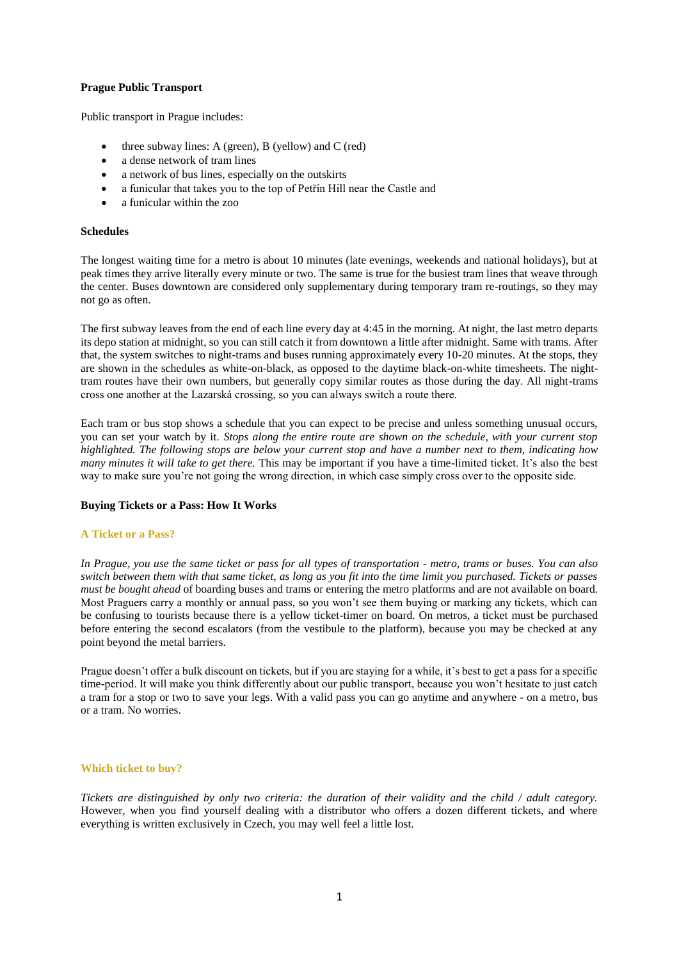## **Prague Public Transport**

Public transport in Prague includes:

- three subway lines: A (green), B (yellow) and C (red)
- a dense network of tram lines
- a network of bus lines, especially on the outskirts
- a funicular that takes you to the top of Petřín Hill near the Castle and
- a funicular within the zoo

#### **Schedules**

The longest waiting time for a metro is about 10 minutes (late evenings, weekends and national holidays), but at peak times they arrive literally every minute or two. The same is true for the busiest tram lines that weave through the center. Buses downtown are considered only supplementary during temporary tram re-routings, so they may not go as often.

The first subway leaves from the end of each line every day at 4:45 in the morning. At night, the last metro departs its depo station at midnight, so you can still catch it from downtown a little after midnight. Same with trams. After that, the system switches to night-trams and buses running approximately every 10-20 minutes. At the stops, they are shown in the schedules as white-on-black, as opposed to the daytime black-on-white timesheets. The nighttram routes have their own numbers, but generally copy similar routes as those during the day. All night-trams cross one another at the Lazarská crossing, so you can always switch a route there.

Each tram or bus stop shows a schedule that you can expect to be precise and unless something unusual occurs, you can set your watch by it. *Stops along the entire route are shown on the schedule, with your current stop highlighted. The following stops are below your current stop and have a number next to them, indicating how many minutes it will take to get there.* This may be important if you have a time-limited ticket. It's also the best way to make sure you're not going the wrong direction, in which case simply cross over to the opposite side.

#### **Buying Tickets or a Pass: How It Works**

#### **A Ticket or a Pass?**

*In Prague, you use the same ticket or pass for all types of transportation - metro, trams or buses. You can also switch between them with that same ticket, as long as you fit into the time limit you purchased. Tickets or passes must be bought ahead* of boarding buses and trams or entering the metro platforms and are not available on board. Most Praguers carry a monthly or annual pass, so you won't see them buying or marking any tickets, which can be confusing to tourists because there is a yellow ticket-timer on board. On metros, a ticket must be purchased before entering the second escalators (from the vestibule to the platform), because you may be checked at any point beyond the metal barriers.

Prague doesn't offer a bulk discount on tickets, but if you are staying for a while, it's best to get a pass for a specific time-period. It will make you think differently about our public transport, because you won't hesitate to just catch a tram for a stop or two to save your legs. With a valid pass you can go anytime and anywhere - on a metro, bus or a tram. No worries.

#### **Which ticket to buy?**

*Tickets are distinguished by only two criteria: the duration of their validity and the child / adult category.*  However, when you find yourself dealing with a distributor who offers a dozen different tickets, and where everything is written exclusively in Czech, you may well feel a little lost.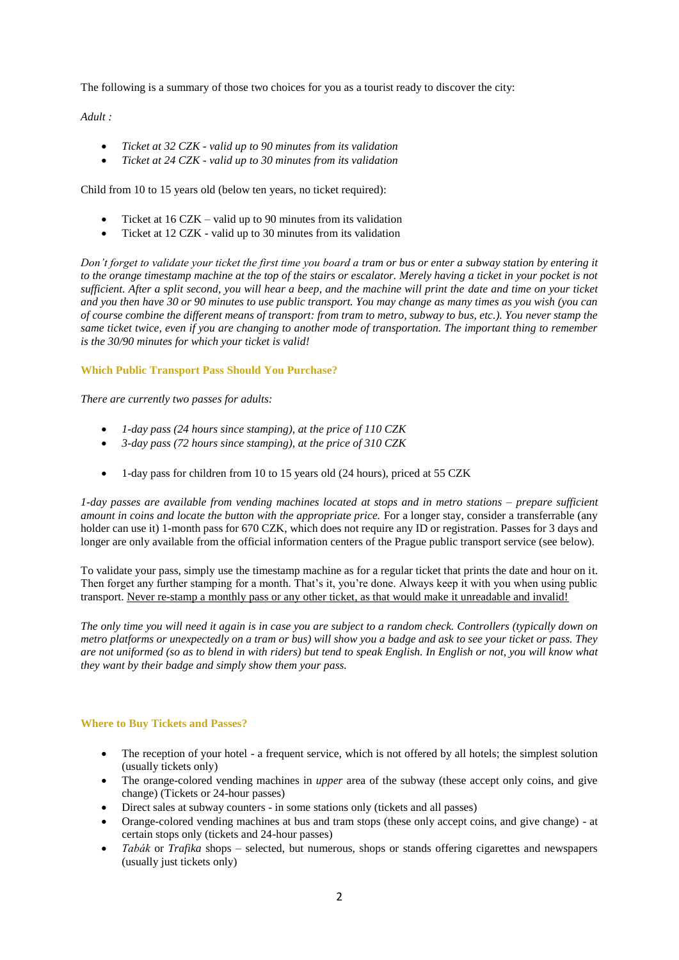The following is a summary of those two choices for you as a tourist ready to discover the city:

*Adult :*

- *Ticket at 32 CZK - valid up to 90 minutes from its validation*
- *Ticket at 24 CZK - valid up to 30 minutes from its validation*

Child from 10 to 15 years old (below ten years, no ticket required):

- Ticket at 16 CZK valid up to 90 minutes from its validation
- Ticket at 12 CZK valid up to 30 minutes from its validation

*Don't forget to validate your ticket the first time you board a tram or bus or enter a subway station by entering it*  to the orange timestamp machine at the top of the stairs or escalator. Merely having a ticket in your pocket is not *sufficient. After a split second, you will hear a beep, and the machine will print the date and time on your ticket and you then have 30 or 90 minutes to use public transport. You may change as many times as you wish (you can of course combine the different means of transport: from tram to metro, subway to bus, etc.). You never stamp the same ticket twice, even if you are changing to another mode of transportation. The important thing to remember is the 30/90 minutes for which your ticket is valid!*

# **Which Public Transport Pass Should You Purchase?**

*There are currently two passes for adults:*

- *1-day pass (24 hours since stamping), at the price of 110 CZK*
- *3-day pass (72 hours since stamping), at the price of 310 CZK*
- 1-day pass for children from 10 to 15 years old (24 hours), priced at 55 CZK

*1-day passes are available from vending machines located at stops and in metro stations – prepare sufficient amount in coins and locate the button with the appropriate price.* For a longer stay, consider a transferrable (any holder can use it) 1-month pass for 670 CZK, which does not require any ID or registration. Passes for 3 days and longer are only available from the official information centers of the Prague public transport service (see below).

To validate your pass, simply use the timestamp machine as for a regular ticket that prints the date and hour on it. Then forget any further stamping for a month. That's it, you're done. Always keep it with you when using public transport. Never re-stamp a monthly pass or any other ticket, as that would make it unreadable and invalid!

*The only time you will need it again is in case you are subject to a random check. Controllers (typically down on metro platforms or unexpectedly on a tram or bus) will show you a badge and ask to see your ticket or pass. They are not uniformed (so as to blend in with riders) but tend to speak English. In English or not, you will know what they want by their badge and simply show them your pass.*

## **Where to Buy Tickets and Passes?**

- The reception of your hotel a frequent service, which is not offered by all hotels; the simplest solution (usually tickets only)
- The orange-colored vending machines in *upper* area of the subway (these accept only coins, and give change) (Tickets or 24-hour passes)
- Direct sales at subway counters in some stations only (tickets and all passes)
- Orange-colored vending machines at bus and tram stops (these only accept coins, and give change) at certain stops only (tickets and 24-hour passes)
- *Tabák* or *Trafika* shops selected, but numerous, shops or stands offering cigarettes and newspapers (usually just tickets only)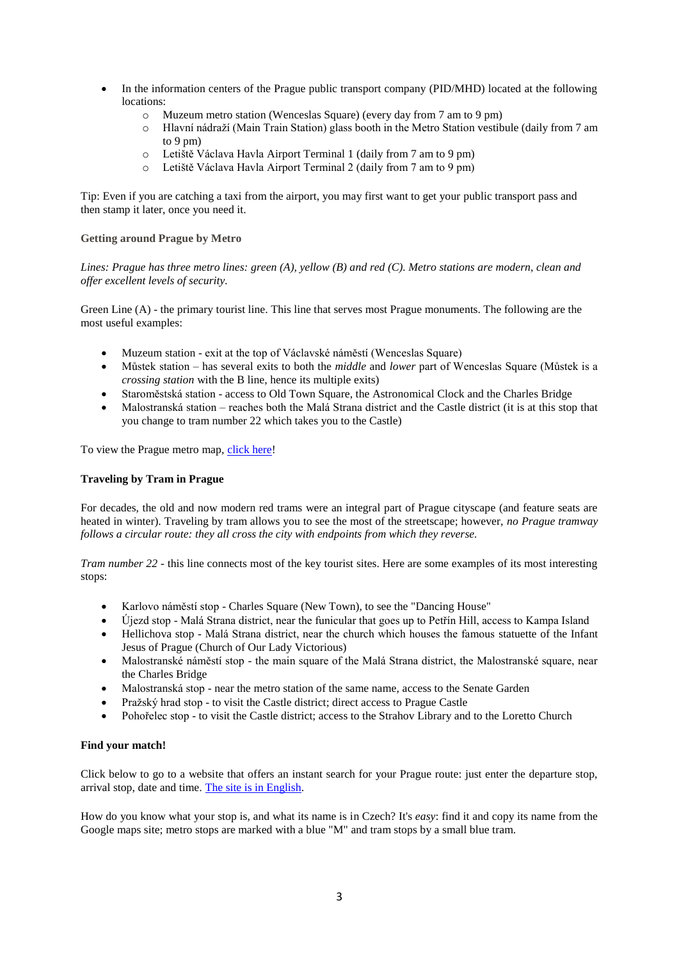- In the information centers of the Prague public transport company (PID/MHD) located at the following locations:
	- o Muzeum metro station (Wenceslas Square) (every day from 7 am to 9 pm)
	- o Hlavní nádraží (Main Train Station) glass booth in the Metro Station vestibule (daily from 7 am to 9 pm)
	- o Letiště Václava Havla Airport Terminal 1 (daily from 7 am to 9 pm)
	- o Letiště Václava Havla Airport Terminal 2 (daily from 7 am to 9 pm)

Tip: Even if you are catching a taxi from the airport, you may first want to get your public transport pass and then stamp it later, once you need it.

## **Getting around Prague by Metro**

*Lines: Prague has three metro lines: green (A), yellow (B) and red (C). Metro stations are modern, clean and offer excellent levels of security.*

Green Line (A) - the primary tourist line. This line that serves most Prague monuments. The following are the most useful examples:

- Muzeum station exit at the top of Václavské náměstí (Wenceslas Square)
- Můstek station has several exits to both the *middle* and *lower* part of Wenceslas Square (Můstek is a *crossing station* with the B line, hence its multiple exits)
- Staroměstská station access to Old Town Square, the Astronomical Clock and the Charles Bridge
- Malostranská station reaches both the Malá Strana district and the Castle district (it is at this stop that you change to tram number 22 which takes you to the Castle)

To view the Prague metro map, [click here!](http://work3.nightbird.cz/wp-content/uploads/2018/03/metro_chuze.jpg)

## **Traveling by Tram in Prague**

For decades, the old and now modern red trams were an integral part of Prague cityscape (and feature seats are heated in winter). Traveling by tram allows you to see the most of the streetscape; however, *no Prague tramway follows a circular route: they all cross the city with endpoints from which they reverse.*

*Tram number 22* - this line connects most of the key tourist sites. Here are some examples of its most interesting stops:

- Karlovo náměstí stop Charles Square (New Town), to see the "Dancing House"
- Újezd stop Malá Strana district, near the funicular that goes up to Petřín Hill, access to Kampa Island
- Hellichova stop Malá Strana district, near the church which houses the famous statuette of the Infant Jesus of Prague (Church of Our Lady Victorious)
- Malostranské náměstí stop the main square of the Malá Strana district, the Malostranské square, near the Charles Bridge
- Malostranská stop near the metro station of the same name, access to the Senate Garden
- Pražský hrad stop to visit the Castle district; direct access to Prague Castle
- Pohořelec stop to visit the Castle district; access to the Strahov Library and to the Loretto Church

#### **Find your match!**

Click below to go to a website that offers an instant search for your Prague route: just enter the departure stop, arrival stop, date and time. [The site is in English.](https://jizdnirady.idnes.cz/praha/spojeni/)

How do you know what your stop is, and what its name is in Czech? It's *easy*: find it and copy its name from the Google maps site; metro stops are marked with a blue "M" and tram stops by a small blue tram.